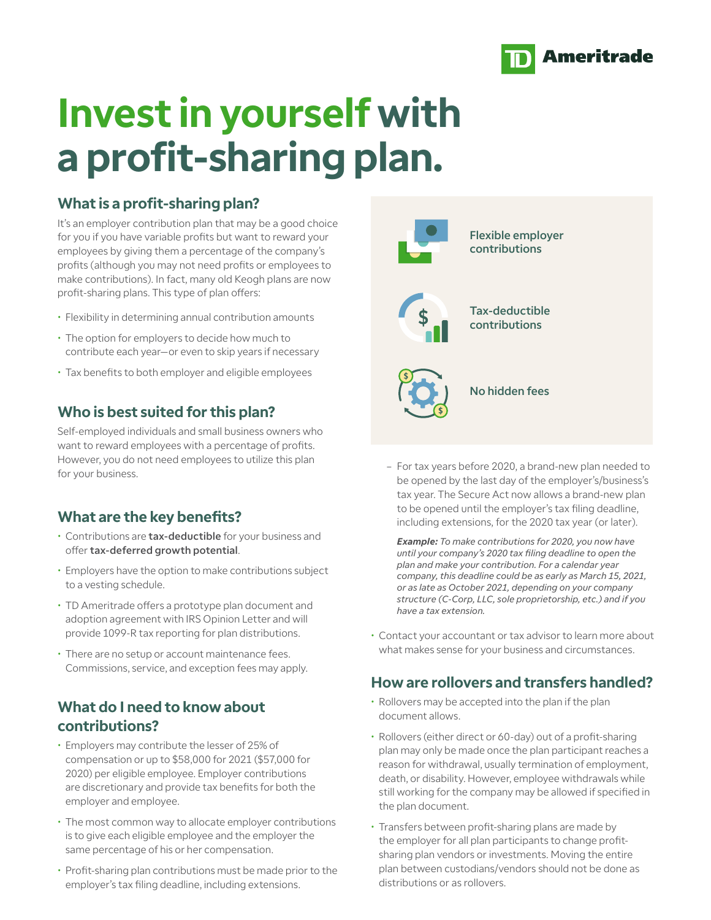

# **Invest in yourself with a profit-sharing plan.**

### **What is a profit-sharing plan?**

It's an employer contribution plan that may be a good choice for you if you have variable profits but want to reward your employees by giving them a percentage of the company's profits (although you may not need profits or employees to make contributions). In fact, many old Keogh plans are now profit-sharing plans. This type of plan offers:

- Flexibility in determining annual contribution amounts
- The option for employers to decide how much to contribute each year—or even to skip years if necessary
- Tax benefits to both employer and eligible employees

# **Who is best suited for this plan?**

Self-employed individuals and small business owners who want to reward employees with a percentage of profits. However, you do not need employees to utilize this plan for your business.

# **What are the key benefits?**

- Contributions are tax-deductible for your business and offer tax-deferred growth potential.
- Employers have the option to make contributions subject to a vesting schedule.
- TD Ameritrade offers a prototype plan document and adoption agreement with IRS Opinion Letter and will provide 1099-R tax reporting for plan distributions.
- There are no setup or account maintenance fees. Commissions, service, and exception fees may apply.

### **What do I need to know about contributions?**

- Employers may contribute the lesser of 25% of compensation or up to \$58,000 for 2021 (\$57,000 for 2020) per eligible employee. Employer contributions are discretionary and provide tax benefits for both the employer and employee.
- The most common way to allocate employer contributions is to give each eligible employee and the employer the same percentage of his or her compensation.
- Profit-sharing plan contributions must be made prior to the employer's tax filing deadline, including extensions.



– For tax years before 2020, a brand-new plan needed to be opened by the last day of the employer's/business's tax year. The Secure Act now allows a brand-new plan to be opened until the employer's tax filing deadline, including extensions, for the 2020 tax year (or later).

*Example: To make contributions for 2020, you now have until your company's 2020 tax filing deadline to open the plan and make your contribution. For a calendar year company, this deadline could be as early as March 15, 2021, or as late as October 2021, depending on your company structure (C-Corp, LLC, sole proprietorship, etc.) and if you have a tax extension.*

• Contact your accountant or tax advisor to learn more about what makes sense for your business and circumstances.

### **How are rollovers and transfers handled?**

- Rollovers may be accepted into the plan if the plan document allows.
- Rollovers (either direct or 60-day) out of a profit-sharing plan may only be made once the plan participant reaches a reason for withdrawal, usually termination of employment, death, or disability. However, employee withdrawals while still working for the company may be allowed if specified in the plan document.
- Transfers between profit-sharing plans are made by the employer for all plan participants to change profitsharing plan vendors or investments. Moving the entire plan between custodians/vendors should not be done as distributions or as rollovers.